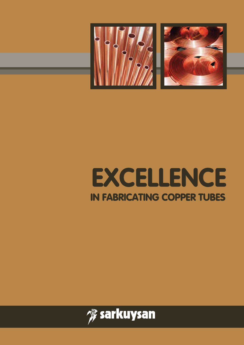

# **EXCELLENCE IN FABRICATING COPPER TUBES**

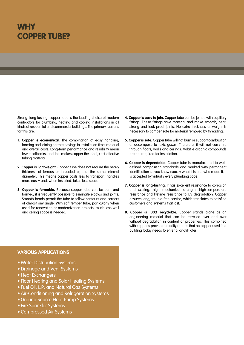### **WHY COPPER TUBE?**

Strong, long lasting, copper tube is the leading choice of modern contractors for plumbing, heating and cooling installations in all kinds of residential and commercial buildings. The primary reasons for this are:

- **1. Copper is economical.** The combination of easy handling, forming and joining permits savings in installation time, material and overall costs. Long-term performance and reliability mean fewer callbacks, and that makes copper the ideal, cost-effective tubing material.
- **2. Copper is lightweight.** Copper tube does not require the heavy thickness of ferrous or threaded pipe of the same internal diameter. This means copper costs less to transport, handles more easily and, when installed, takes less space.
- **3. Copper is formable.** Because copper tube can be bent and formed, it is frequently possible to eliminate elbows and joints. Smooth bends permit the tube to follow contours and corners of almost any angle. With soft temper tube, particularly when used for renovation or modernization projects, much less wall and ceiling space is needed.
- **4. Copper is easy to join.** Copper tube can be joined with capillary fittings. These fittings save material and make smooth, neat, strong and leak-proof joints. No extra thickness or weight is necessary to compensate for material removed by threading.
- **5. Copper is safe.** Copper tube will not burn or support combustion or decompose to toxic gases. Therefore, it will not carry fire through floors, walls and ceilings. Volatile organic compounds are not required for installation.
- **6. Copper is dependable.** Copper tube is manufactured to welldefined composition standards and marked with permanent identification so you know exactly what it is and who made it. It is accepted by virtually every plumbing code.
- **7. Copper is long-lasting.** It has excellent resistance to corrosion and scaling, high mechanical strength, high-temperature resistance and lifetime resistance to UV degradation. Copper assures long, trouble-free service, which translates to satisfied customers and systems that last.
- **8. Copper is 100% recyclable.** Copper stands alone as an engineering material that can be recycled over and over without degradation in content or properties. This combined with copper's proven durability means that no copper used in a building today needs to enter a landfill later.

#### **VARIOUS APPLICATIONS**

- Water Distribution Systems
- • Drainage and Vent Systems
- Heat Exchangers
- Floor Heating and Solar Heating Systems
- Fuel Oil, L.P. and Natural Gas Systems
- Air-Conditioning and Refrigeration Systems
- Ground Source Heat Pump Systems
- Fire Sprinkler Systems
- Compressed Air Systems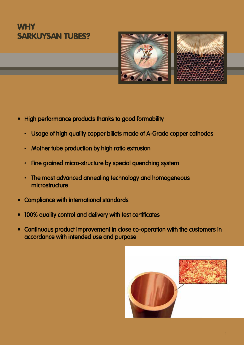### **WHY SARKUYSAN TUBES?**



- High performance products thanks to good formability
	- Usage of high quality copper billets made of A-Grade copper cathodes
	- Mother tube production by high ratio extrusion
	- Fine grained micro-structure by special quenching system
	- The most advanced annealing technology and homogeneous microstructure
- • Compliance with international standards
- • 100% quality control and delivery with test certificates
- • Continuous product improvement in close co-operation with the customers in accordance with intended use and purpose

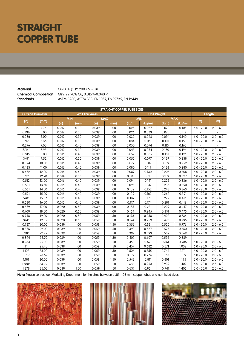## **STRAIGHT COPPER TUBE**

**Material** Cu-DHP (C 12 200 / SF-Cu) **Chemical Composition** Min. 99.90% Cu, 0.015%-0.040 P **Standards** ASTM B280, ASTM B88, EN 1057, EN 12735, EN 12449

|                  | <b>STRAIGHT COPPER TUBE SIZES</b> |       |            |                       |            |                    |            |         |            |                    |             |
|------------------|-----------------------------------|-------|------------|-----------------------|------------|--------------------|------------|---------|------------|--------------------|-------------|
|                  | <b>Outside Diameter</b>           |       |            | <b>Wall Thickness</b> |            | <b>Unit Weight</b> |            |         |            | Length             |             |
|                  |                                   |       | <b>MIN</b> |                       | <b>MAX</b> |                    | <b>MIN</b> |         | <b>MAX</b> |                    |             |
| (in)             | (mm)                              | (in)  | (mm)       | (in)                  | (mm)       | (lb/ft)            | (kg/m)     | (lb/ft) | (kg/m)     | (f <sup>th</sup> ) | (m)         |
| 3/16"            | 4.76                              | 0.012 | 0.30       | 0.039                 | 1.00       | 0.025              | 0.037      | 0.070   | 0.105      | $6.0 - 20.0$       | $2.0 - 6.0$ |
| 0.196            | 5.00                              | 0.012 | 0.30       | 0.039                 | 1.00       | 0.026              | 0.039      | 0.075   | 0.112      |                    |             |
| 0.236            | 6.00                              | 0.012 | 0.30       | 0.039                 | 1.00       | 0.032              | 0.048      | 0.094   | 0.140      | $6.0 - 20.0$       | $2.0 - 6.0$ |
| 1/4"             | 6.35                              | 0.012 | 0.30       | 0.039                 | 1.00       | 0.034              | 0.051      | 0.101   | 0.150      | $6.0 - 20.0$       | $2.0 - 6.0$ |
| 0.276            | 7.00                              | 0.016 | 0.40       | 0.039                 | 1.00       | 0.050              | 0.074      | 0.113   | 0.168      |                    |             |
| 5/16"            | 7.93                              | 0.012 | 0.30       | 0.039                 | 1.00       | 0.043              | 0.064      | 0.130   | 0.194      | $6.0 - 20.0$       | $2.0 - 6.0$ |
| 0.315            | 8.00                              | 0.016 | 0.40       | 0.039                 | 1.00       | 0.057              | 0.085      | 0.131   | 0.196      | $6.0 - 20.0$       | $2.0 - 6.0$ |
| 3/8"             | 9.52                              | 0.012 | 0.30       | 0.039                 | 1.00       | 0.052              | 0.077      | 0.159   | 0.238      | $6.0 - 20.0$       | $2.0 - 6.0$ |
| 0.394            | 10.00                             | 0.016 | 0.40       | 0.039                 | 1.00       | 0.072              | 0.107      | 0.169   | 0.252      | $6.0 - 20.0$       | $2.0 - 6.0$ |
| 0.433            | 11.00                             | 0.016 | 0.40       | 0.039                 | 1.00       | 0.080              | 0.119      | 0.188   | 0.280      | $6.0 - 20.0$       | $2.0 - 6.0$ |
| 0.472            | 12.00                             | 0.016 | 0.40       | 0.039                 | 1.00       | 0.087              | 0.130      | 0.206   | 0.308      | $6.0 - 20.0$       | $2.0 - 6.0$ |
| $\overline{1/2}$ | 12.70                             | 0.014 | 0.35       | 0.039                 | 1.00       | 0.081              | 0.121      | 0.219   | 0.327      | $6.0 - 20.0$       | $2.0 - 6.0$ |
| 0.512            | 13.00                             | 0.016 | 0.40       | 0.039                 | 1.00       | 0.094              | 0.141      | 0.225   | 0.336      | $6.0 - 20.0$       | $2.0 - 6.0$ |
| 0.531            | 13.50                             | 0.016 | 0.40       | 0.039                 | 1.00       | 0.098              | 0.147      | 0.235   | 0.350      | $6.0 - 20.0$       | $2.0 - 6.0$ |
| 0.551            | 14.00                             | 0.016 | 0.40       | 0.039                 | 1.00       | 0.102              | 0.152      | 0.243   | 0.363      | $6.0 - 20.0$       | $2.0 - 6.0$ |
| 0.591            | 15.00                             | 0.016 | 0.40       | 0.039                 | 1.00       | 0.109              | 0.163      | 0.262   | 0.391      | $6.0 - 20.0$       | $2.0 - 6.0$ |
| 5/8"             | 15.87                             | 0.016 | 0.40       | 0.039                 | 1.00       | 0.116              | 0.173      | 0.279   | 0.416      | $6.0 - 20.0$       | $2.0 - 6.0$ |
| 0.630            | 16.00                             | 0.016 | 0.40       | 0.039                 | 1.00       | 0.117              | 0.174      | 0.281   | 0.419      | $6.0 - 20.0$       | $2.0 - 6.0$ |
| 0.669            | 17.00                             | 0.020 | 0.50       | 0.039                 | 1.00       | 0.155              | 0.231      | 0.299   | 0.447      | $6.0 - 20.0$       | $2.0 - 6.0$ |
| 0.709            | 18.00                             | 0.020 | 0.50       | 0.039                 | 1.00       | 0.164              | 0.245      | 0.318   | 0.475      | $6.0 - 20.0$       | $2.0 - 6.0$ |
| 0.748            | 19.00                             | 0.020 | 0.50       | 0.059                 | 1.50       | 0.173              | 0.258      | 0.492   | 0.734      | $6.0 - 20.0$       | $2.0 - 6.0$ |
| 3/4"             | 19.05                             | 0.020 | 0.50       | 0.059                 | 1.50       | 0.174              | 0.259      | 0.493   | 0.736      | $6.0 - 20.0$       | $2.0 - 6.0$ |
| 0.787            | 20.00                             | 0.039 | 1.00       | 0.059                 | 1.50       | 0.356              | 0.531      | 0.520   | 0.776      | $6.0 - 20.0$       | $2.0 - 6.0$ |
| 0.866            | 22.00                             | 0.039 | 1.00       | 0.059                 | 1.50       | 0.393              | 0.587      | 0.576   | 0.860      | $6.0 - 20.0$       | $2.0 - 6.0$ |
| 7/8"             | 22.22                             | 0.039 | 1.00       | 0.059                 | 1.50       | 0.397              | 0.593      | 0.582   | 0.869      | $6.0 - 20.0$       | $2.0 - 6.0$ |
| 0.894            | 22.70                             | 0.039 | 1.00       | 0.059                 | 1.50       | 0.407              | 0.607      | 0.596   | 0.889      | $\overline{a}$     |             |
| 0.984            | 25.00                             | 0.039 | 1.00       | 0.059                 | 1.50       | 0.450              | 0.671      | 0.661   | 0.986      | $6.0 - 20.0$       | $2.0 - 6.0$ |
| ľ.               | 25.40                             | 0.039 | 1.00       | 0.059                 | 1.50       | 0.457              | 0.682      | 0.671   | 1.002      | $6.0 - 20.0$       | $2.0 - 6.0$ |
| 1.102            | 28.00                             | 0.039 | 1.00       | 0.059                 | 1.50       | 0.506              | 0.755      | 0.744   | 1.111      | $6.0 - 20.0$       | $2.0 - 6.0$ |
| 11/8"            | 28.67                             | 0.039 | 1.00       | 0.059                 | 1.50       | 0.519              | 0.774      | 0.763   | 1.139      | $6.0 - 20.0$       | $2.0 - 6.0$ |
| 1.181            | 30.00                             | 0.039 | 1.00       | 0.059                 | 1.50       | 0.543              | 0.811      | 0.801   | 1.195      | $6.0 - 20.0$       | $2.0 - 6.0$ |
| 13/8"            | 34.92                             | 0.039 | 1.00       | 0.059                 | 1.50       | 0.635              | 0.948      | 0.939   | 1.402      | $6.0 - 20.0$       | $2.6 - 6.0$ |
| 1.378            | 35.00                             | 0.039 | 1.00       | 0.059                 | 1.50       | 0.637              | 0.951      | 0.941   | 1.405      | $6.0 - 20.0$       | $2.0 - 6.0$ |

**Note:** Please contact our Marketing Department for the sizes between ø 35 - 108 mm copper tubes and non listed sizes.





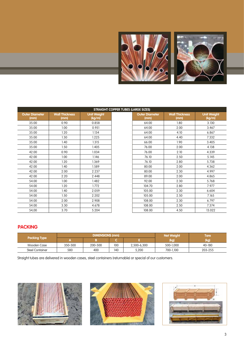

|                               |                               |                              | <b>STRAIGHT COPPER TUBES (LARGE SIZES)</b> |                               |                              |
|-------------------------------|-------------------------------|------------------------------|--------------------------------------------|-------------------------------|------------------------------|
| <b>Outer Diameter</b><br>(mm) | <b>Wall Thickness</b><br>(mm) | <b>Unit Weight</b><br>(kg/m) | <b>Outer Diameter</b><br>(mm)              | <b>Wall Thickness</b><br>(mm) | <b>Unit Weight</b><br>(kg/m) |
| 35.00                         | 0.90                          | 0.858                        | 64.00                                      | 1.80                          | 3.130                        |
| 35.00                         | 1.00                          | 0.951                        | 64.00                                      | 2.00                          | 3.467                        |
| 35.00                         | 1.20                          | 1.134                        | 64.00                                      | 4.10                          | 6.867                        |
| 35.00                         | 1.30                          | 1.225                        | 64.00                                      | 4.40                          | 7.332                        |
| 35.00                         | 1.40                          | 1.315                        | 66.00                                      | 1.90                          | 3.405                        |
| 35.00                         | 1.50                          | 1.405                        | 76.00                                      | 2.00                          | 4.138                        |
| 42.00                         | 0.90                          | 1.034                        | 76.00                                      | 2.10                          | 4.339                        |
| 42.00                         | 1.00                          | 1.146                        | 76.10                                      | 2.50                          | 5.145                        |
| 42.00                         | 1.20                          | 1.369                        | 76.10                                      | 2.80                          | 5.738                        |
| 42.00                         | 1.40                          | 1.589                        | 80.00                                      | 2.00                          | 4.362                        |
| 42.00                         | 2.00                          | 2.237                        | 80.00                                      | 2.30                          | 4.997                        |
| 42.00                         | 2.20                          | 2.448                        | 89.00                                      | 2.00                          | 4.865                        |
| 54.00                         | 1.00                          | 1.482                        | 92.00                                      | 2.30                          | 5.768                        |
| 54.00                         | 1.20                          | 1.772                        | 104.70                                     | 2.80                          | 7.977                        |
| 54.00                         | 1.40                          | 2.059                        | 105.00                                     | 2.30                          | 6.604                        |
| 54.00                         | 1.50                          | 2.202                        | 105.00                                     | 2.50                          | 7.165                        |
| 54.00                         | 2.00                          | 2.908                        | 108.00                                     | 2.30                          | 6.797                        |
| 54.00                         | 3.30                          | 4.678                        | 108.00                                     | 2.50                          | 7.374                        |
| 54,00                         | 3.70                          | 5.204                        | 108.00                                     | 4.50                          | 13.022                       |

### **PACKING**

|                        |         | <b>DIMENSIONS (mm)</b> |     | <b>Net Weight</b> | Tare      |         |
|------------------------|---------|------------------------|-----|-------------------|-----------|---------|
| <b>Packing Type</b>    |         |                        |     |                   | (kg)      | (kg)    |
| Wooden Case            | 350-500 | 200-500                | 100 | 2,500-6,300       | 500-1.000 | 40-180  |
| <b>Steel Container</b> | 580     | 400                    | 140 | 5,200             | 700-1.100 | 203-255 |

Straight tubes are delivered in wooden cases, steel containers (returnable) or special of our customers.





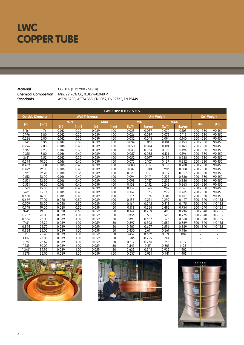## **LWC COPPER TUBE**

**Material** Cu-DHP (C 12 200 / SF-Cu)<br>**Chemical Composition** Min. 99.90% Cu, 0.015%-0. **Chemical Composition** Min. 99.90% Cu, 0.015%-0.040 P **Standards** ASTM B280, ASTM B88, EN 1057, EN 12735, EN 12449

|       |                         |            |      |                       |            | <b>LWC COPPER TUBE SIZES</b> |            |                    |            |                          |                        |
|-------|-------------------------|------------|------|-----------------------|------------|------------------------------|------------|--------------------|------------|--------------------------|------------------------|
|       | <b>Outside Diameter</b> |            |      | <b>Wall Thickness</b> |            |                              |            | <b>Unit Weight</b> |            | <b>Coil Weight</b>       |                        |
|       |                         | <b>MIN</b> |      |                       | <b>MAX</b> |                              | <b>MIN</b> |                    | <b>MAX</b> |                          |                        |
| (in)  | (mm)                    | (in)       | (mm) | (in)                  | (mm)       | (lb/ft)                      | (kg/m)     | (Ib/ft)            | (kg/m)     | (lb)                     | (kg)                   |
| 3/16" | 4.76                    | 0.012      | 0.30 | 0.039                 | 1.00       | 0.025                        | 0.037      | 0.070              | 0.105      | $200 - 330$              | 90-150                 |
| 0.196 | 5.00                    | 0.012      | 0.30 | 0.039                 | 1.00       | 0.026                        | 0.039      | 0.075              | 0.112      | $200 -$<br>330           | 90-150                 |
| 0.236 | 6.00                    | 0.012      | 0.30 | 0.039                 | 1.00       | 0.032                        | 0.048      | 0.094              | 0.140      | $200 -$<br>330           | 90-150                 |
| 1/4"  | 6.35                    | 0.012      | 0.30 | 0.039                 | 1.00       | 0.034                        | 0.051      | 0.101              | 0.150      | $200 -$<br>330           | 90-150                 |
| 0.276 | 7.00                    | 0.016      | 0.40 | 0.039                 | 1.00       | 0.050                        | 0.074      | 0.113              | 0.168      | $200 - 330$              | 90-150                 |
| 5/16" | 7.93                    | 0.012      | 0.30 | 0.039                 | 1.00       | 0.043                        | 0.064      | 0.130              | 0.194      | $200 - 330$              | 90-150                 |
| 0.315 | 8.00                    | 0.016      | 0.40 | 0.039                 | 1.00       | 0.057                        | 0.085      | 0.131              | 0.196      | $200 -$<br>330           | 90-150                 |
| 3/8"  | 9.52                    | 0.012      | 0.30 | 0.039                 | 1.00       | 0.052                        | 0.077      | 0.159              | 0.238      | $200 -$<br>330           | 90-150                 |
| 0.394 | 10.00                   | 0.016      | 0.40 | 0.039                 | 1.00       | 0.072                        | 0.107      | 0.169              | 0.252      | 330<br>$200 -$           | 90-150                 |
| 0.433 | 11.00                   | 0.016      | 0.40 | 0.039                 | 1.00       | 0.080                        | 0.119      | 0.188              | 0.280      | $200 - 330$              | 90-150                 |
| 0.472 | 12.00                   | 0.016      | 0.40 | 0.039                 | 1.00       | 0.087                        | 0.130      | 0.206              | 0.308      | 330<br>$200 -$           | 90-150                 |
| 1/2"  | 12.70                   | 0.014      | 0.35 | 0.039                 | 1.00       | 0.081                        | 0.121      | 0.219              | 0.327      | $200 -$<br>330           | 90-150                 |
| 0.512 | 13.00                   | 0.016      | 0.40 | 0.039                 | 1.00       | 0.094                        | 0.141      | 0.225              | 0.336      | $200 -$<br>330           | 90-150                 |
| 0.531 | 13.50                   | 0.016      | 0.40 | 0.039                 | 1.00       | 0.098                        | 0.147      | 0.235              | 0.350      | $200 - 330$              | 90-150                 |
| 0.551 | 14.00                   | 0.016      | 0.40 | 0.039                 | 1.00       | 0.102                        | 0.152      | 0.243              | 0.363      | $200 - 330$              | 90-150                 |
| 0.591 | 15.00                   | 0.016      | 0.40 | 0.039                 | 1.00       | 0.109                        | 0.163      | 0.262              | 0.391      | $200 - 330$              | 90-150                 |
| 5/8"  | 15.87                   | 0.016      | 0.40 | 0.039                 | 1.00       | 0.116                        | 0.173      | 0.279              | 0.416      | $200 - 330$              | 90-150                 |
| 0.630 | 16.00                   | 0.016      | 0.40 | 0.039                 | 1.00       | 0.117                        | 0.174      | 0.281              | 0.419      | $200 - 330$              | 90-150                 |
| 0.669 | 17.00                   | 0.020      | 0.50 | 0.039                 | 1.00       | 0.155                        | 0.231      | 0.299              | 0.447      | $300 - 340$              | $140 - 155$            |
| 0.709 | 18.00                   | 0.020      | 0.50 | 0.039                 | 1.00       | 0.164                        | 0.245      | 0.318              | 0.475      | $300 - 340$              | 140-155                |
| 0.748 | 19.00                   | 0.020      | 0.50 | 0.059                 | 1.50       | 0.173                        | 0.258      | 0.492              | 0.734      | $300 -$<br>340           | $\overline{140} - 155$ |
| 3/4"  | 19.05                   | 0.020      | 0.50 | 0.059                 | 1.50       | 0.174                        | 0.259      | 0.493              | 0.736      | 300<br>340               | 140-155                |
| 0.787 | 20.00                   | 0.039      | 1.00 | 0.059                 | 1.50       | 0.356                        | 0.531      | 0.520              | 0.776      | 300<br>340               | 140-155                |
| 0.866 | 22.00                   | 0.039      | 1.00 | 0.059                 | 1.50       | 0.393                        | 0.587      | 0.576              | 0.860      | $300 - 340$              | 140-155                |
| 7/8"  | 22.22                   | 0.039      | 1.00 | 0.059                 | 1.50       | 0.397                        | 0.593      | 0.582              | 0.869      | $300 - 340$              | 140-155                |
| 0.894 | 22.70                   | 0.039      | 1.00 | 0.059                 | 1.50       | 0.407                        | 0.607      | 0.596              | 0.889      | $300 - 340$              | 140-155                |
| 0.984 | 25.00                   | 0.039      | 1.00 | 0.059                 | 1.50       | 0.450                        | 0.671      | 0.661              | 0.986      |                          |                        |
|       | 25.40                   | 0.039      | 1.00 | 0.059                 | 1.50       | 0.457                        | 0.682      | 0.671              | 1.002      |                          |                        |
| 1.102 | 28.00                   | 0.039      | 1.00 | 0.059                 | 1.50       | 0.506                        | 0.755      | 0.744              | 1.111      | $\overline{a}$           |                        |
| 11/8" | 28.67                   | 0.039      | 1.00 | 0.059                 | 1.50       | 0.519                        | 0.774      | 0.763              | 1.139      | $\overline{a}$           | $\overline{a}$         |
| 1.181 | 30.00                   | 0.039      | 1.00 | 0.059                 | 1.50       | 0.543                        | 0.811      | 0.801              | 1.195      | $\overline{\phantom{a}}$ | $\overline{a}$         |
| 13/8" | 34.92                   | 0.039      | 1.00 | 0.059                 | 1.50       | 0.635                        | 0.948      | 0.939              | .402       | $\overline{a}$           | $\overline{a}$         |
| 1.378 | 35.00                   | 0.039      | 1.00 | 0.059                 | 1.50       | 0.637                        | 0.951      | 0.941              | 1.405      |                          |                        |





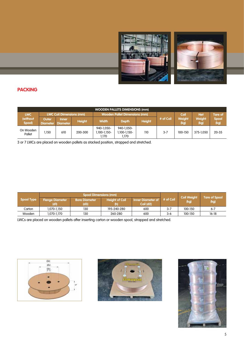

#### **PACKING**

|                     |                          |                                 |               |                                    | <b>WOODEN PALLETS DIMENSIONS (mm)</b> |               |           |                       |                       |                      |
|---------------------|--------------------------|---------------------------------|---------------|------------------------------------|---------------------------------------|---------------|-----------|-----------------------|-----------------------|----------------------|
| <b>LWC</b>          |                          | <b>LWC Coil Dimensions (mm)</b> |               |                                    | <b>Wooden Pallet Dimensions (mm)</b>  |               | Coil      | <b>Net</b>            | <b>Tare of</b>        |                      |
| (without<br>Spool)  | Outer<br><b>Diameter</b> | <b>Inner</b><br><b>Diameter</b> | <b>Height</b> | <b>Width</b>                       | <b>Depth</b>                          | <b>Height</b> | # of Coil | <b>Weight</b><br>(kg) | <b>Weight</b><br>(kg) | <b>Spool</b><br>(kg) |
| On Wooden<br>Pallet | 1.150                    | 610                             | 200-300       | 940-1.050-<br>.100-1.150-<br>1,170 | 940-1.050-<br>.100-1.150-<br>1,170    | 110           | $3 - 7$   | 100-150               | 375-1.050             | $20 - 35$            |

3 or 7 LWCs are placed on wooden pallets as stacked position, strapped and stretched.

|                   |                                | <b>Spool Dimensions (mm)</b> |                              |                                          |         | <b>Coil Weight</b> |                              |  |
|-------------------|--------------------------------|------------------------------|------------------------------|------------------------------------------|---------|--------------------|------------------------------|--|
| <b>Spool Type</b> | <b>Flange Diameter</b><br>(d1) | <b>Bore Diameter</b><br>(d3) | <b>Height of Coil</b><br>(h) | Inner Diameter of # of Coil<br>Coil (d2) |         | (kg)               | <b>Tare of Spool</b><br>(kg) |  |
| Carton            | 1.070-1.150                    | 130                          | 195-240-280                  | 600                                      | $3 - 7$ | 100-150            | $6 - 7$                      |  |
| Wooden            | 1.070-1.170                    | 130                          | 260-280                      | 600                                      | 3-6     | 100-150            | $16-18$                      |  |

LWCs are placed on wooden pallets after inserting carton or wooden spool, strapped and stretched.





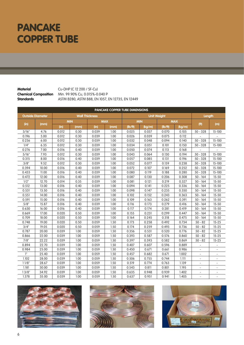## **PANCAKE COPPER TUBE**

**Material** Cu-DHP (C 12 200 / SF-Cu) **Chemical Composition** Min. 99.90% Cu, 0.015%-0.040 P **Standards** ASTM B280, ASTM B88, EN 1057, EN 12735, EN 12449

|       |                         |            |      |                       |            | <b>PANCAKE COPPER TUBE DIMENSIONS</b> |            |                    |            |                          |                          |
|-------|-------------------------|------------|------|-----------------------|------------|---------------------------------------|------------|--------------------|------------|--------------------------|--------------------------|
|       | <b>Outside Diameter</b> |            |      | <b>Wall Thickness</b> |            |                                       |            | <b>Unit Weight</b> |            | Length                   |                          |
|       |                         | <b>MIN</b> |      |                       | <b>MAX</b> |                                       | <b>MIN</b> |                    | <b>MAX</b> |                          |                          |
| (in)  | (mm)                    | (in)       | (mm) | (in)                  | (mm)       | (lb/ft)                               | (kg/m)     | (Ib/ft)            | (kg/m)     | (f <sup>th</sup> )       | (m)                      |
| 3/16" | 4.76                    | 0.012      | 0.30 | 0.039                 | 1.00       | 0.025                                 | 0.037      | 0.070              | 0.105      | $50 - 328$               | $15 - 100$               |
| 0.196 | 5.00                    | 0.012      | 0.30 | 0.039                 | 1.00       | 0.026                                 | 0.039      | 0.075              | 0.112      |                          |                          |
| 0.236 | 6.00                    | 0.012      | 0.30 | 0.039                 | 1.00       | 0.032                                 | 0.048      | 0.094              | 0.140      | $50 - 328$               | 15-100                   |
| 1/4"  | 6.35                    | 0.012      | 0.30 | 0.039                 | 1.00       | 0.034                                 | 0.051      | 0.101              | 0.150      | $50 - 328$               | $15 - 100$               |
| 0.276 | 7.00                    | 0.016      | 0.40 | 0.039                 | 1.00       | 0.050                                 | 0.074      | 0.113              | 0.168      | $\overline{\phantom{a}}$ |                          |
| 5/16" | 7.93                    | 0.012      | 0.30 | 0.039                 | 1.00       | 0.043                                 | 0.064      | 0.130              | 0.194      | $50 - 328$               | $15 - 100$               |
| 0.315 | 8.00                    | 0.016      | 0.40 | 0.039                 | 1.00       | 0.057                                 | 0.085      | 0.131              | 0.196      | $50 - 328$               | 15-100                   |
| 3/8"  | 9.52                    | 0.012      | 0.30 | 0.039                 | 1.00       | 0.052                                 | 0.077      | 0.159              | 0.238      | $50 - 328$               | 15-100                   |
| 0.394 | 10.00                   | 0.016      | 0.40 | 0.039                 | 1.00       | 0.072                                 | 0.107      | 0.169              | 0.252      | $50 - 328$               | 15-100                   |
| 0.433 | 11.00                   | 0.016      | 0.40 | 0.039                 | 1.00       | 0.080                                 | 0.119      | 0.188              | 0.280      | $50 - 328$               | 15-100                   |
| 0.472 | 12.00                   | 0.016      | 0.40 | 0.039                 | 1.00       | 0.087                                 | 0.130      | 0.206              | 0.308      | $50 - 164$               | $15 - 50$                |
| 1/2"  | 12.70                   | 0.014      | 0.35 | 0.039                 | 1.00       | 0.081                                 | 0.121      | 0.219              | 0.327      | $50 - 164$               | $15 - 50$                |
| 0.512 | 13.00                   | 0.016      | 0.40 | 0.039                 | 1.00       | 0.094                                 | 0.141      | 0.225              | 0.336      | $50 - 164$               | $15 - 50$                |
| 0.531 | 13.50                   | 0.016      | 0.40 | 0.039                 | 1.00       | 0.098                                 | 0.147      | 0.235              | 0.350      | $50 - 164$               | $15 - 50$                |
| 0.551 | 14.00                   | 0.016      | 0.40 | 0.039                 | 1.00       | 0.102                                 | 0.152      | 0.243              | 0.363      | $50 - 164$               | $15 - 50$                |
| 0.591 | 15.00                   | 0.016      | 0.40 | 0.039                 | 1.00       | 0.109                                 | 0.163      | 0.262              | 0.391      | $50 - 164$               | $15 - 50$                |
| 5/8"  | 15.87                   | 0.016      | 0.40 | 0.039                 | 1.00       | 0.116                                 | 0.173      | 0.279              | 0.416      | $50 - 164$               | $15 - 50$                |
| 0.630 | 16.00                   | 0.016      | 0.40 | 0.039                 | 1.00       | 0.117                                 | 0.174      | 0.281              | 0.419      | $50 - 164$               | $15 - 50$                |
| 0.669 | 17.00                   | 0.020      | 0.50 | 0.039                 | 1.00       | 0.155                                 | 0.231      | 0.299              | 0.447      | $50 - 164$               | $15 - 50$                |
| 0.709 | 18.00                   | 0.020      | 0.50 | 0.039                 | 1.00       | 0.164                                 | 0.245      | 0.318              | 0.475      | $50 - 164$               | $15 - 50$                |
| 0.748 | 19.00                   | 0.020      | 0.50 | 0.059                 | 1.50       | 0.173                                 | 0.258      | 0.492              | 0.734      | $50 - 82$                | $15 - 25$                |
| 3/4"  | 19.05                   | 0.020      | 0.50 | 0.059                 | 1.50       | 0.174                                 | 0.259      | 0.493              | 0.736      | $50 - 82$                | $15 - 25$                |
| 0.787 | 20.00                   | 0.039      | 1.00 | 0.059                 | 1.50       | 0.356                                 | 0.531      | 0.520              | 0.776      | $50 - 82$                | $15 - 25$                |
| 0.866 | 22.00                   | 0.039      | 1.00 | 0.059                 | 1.50       | 0.393                                 | 0.587      | 0.576              | 0.860      | $50 - 82$                | $15 - 25$                |
| 7/8"  | 22.22                   | 0.039      | 1.00 | 0.059                 | 1.50       | 0.397                                 | 0.593      | 0.582              | 0.869      | $50 - 82$                | $15 - 25$                |
| 0.894 | 22.70                   | 0.039      | 1.00 | 0.059                 | 1.50       | 0.407                                 | 0.607      | 0.596              | 0.889      |                          | $\overline{\phantom{a}}$ |
| 0.984 | 25.00                   | 0.039      | 1.00 | 0.059                 | 1.50       | 0.450                                 | 0.671      | 0.661              | 0.986      |                          | $\overline{a}$           |
| 1"    | 25.40                   | 0.039      | 1.00 | 0.059                 | 1.50       | 0.457                                 | 0.682      | 0.671              | 1.002      |                          |                          |
| 1.102 | 28.00                   | 0.039      | 1.00 | 0.059                 | 1.50       | 0.506                                 | 0.755      | 0.744              | 1.111      | $\overline{\phantom{a}}$ | $\overline{a}$           |
| 11/8" | 28.67                   | 0.039      | 1.00 | 0.059                 | 1.50       | 0.519                                 | 0.774      | 0.763              | 1.139      |                          | $\overline{a}$           |
| 1.181 | 30.00                   | 0.039      | 1.00 | 0.059                 | 1.50       | 0.543                                 | 0.811      | 0.801              | 1.195      | $\overline{a}$           |                          |
| 13/8" | 34.92                   | 0.039      | 1.00 | 0.059                 | 1.50       | 0.635                                 | 0.948      | 0.939              | 1.402      | $\overline{\phantom{a}}$ | $\overline{a}$           |
| 1.378 | 35.00                   | 0.039      | 1.00 | 0.059                 | 1.50       | 0.637                                 | 0.951      | 0.941              | 1.405      |                          |                          |





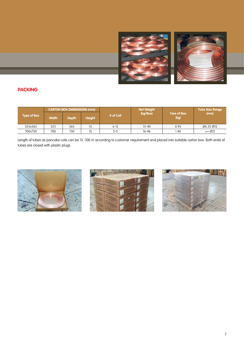

### **PACKING**

|                    |              | <b>CARTON BOX DIMENSIONS (mm)</b> |               |           | <b>Net Weight</b> |                            | <b>Tube Size Range</b> |
|--------------------|--------------|-----------------------------------|---------------|-----------|-------------------|----------------------------|------------------------|
| <b>Type of Box</b> | <b>Width</b> | <b>Depth</b>                      | <b>Height</b> | # of Coil | (kg/Box)          | <b>Tare of Box</b><br>(kg) | (mm)                   |
| 525x565            | 525          | 565                               |               | $6 - 12$  | $15 - 40$         | 0.95                       | Ø6.35-Ø12              |
| 700x730            | 700          | 730                               | 15            | $2 - 5$   | $16 - 46$         | . 40                       | $>=$ Ø12               |

Length of tubes as pancake coils can be 15 -100 m according to customer requirement and placed into suitable carton box. Both ends of tubes are closed with plastic plugs.





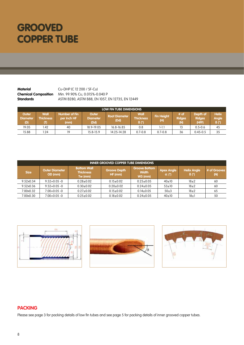## **GROOVED COPPER TUBE**

**Material** Cu-DHP (C 12 200 / SF-Cu) **Chemical Composition** Min. 99.90% Cu, 0.015%-0.040 P **Standards** ASTM B280, ASTM B88, EN 1057, EN 12735, EN 12449

| LOW FIN TUBE DIMENSIONS  |                                       |                                             |                                  |                              |                          |                          |                              |                                    |                                                   |
|--------------------------|---------------------------------------|---------------------------------------------|----------------------------------|------------------------------|--------------------------|--------------------------|------------------------------|------------------------------------|---------------------------------------------------|
| Outer<br>Diameter<br>(D) | <b>Wall</b><br><b>Thickness</b><br>T) | <b>Number of Fin</b><br>per Inch HF<br>(mm) | Outer<br><b>Diameter</b><br>(Dd) | <b>Root Diameter</b><br>(Dd) | Wall<br><b>Thickness</b> | <b>Fin Height</b><br>(H) | # of<br><b>Ridges</b><br>(N) | Depth of<br><b>Ridges</b><br>(HFF) | <b>Helix</b><br>Angle <sup>1</sup><br>$\beta$ (°) |
| 19.05                    | i.42                                  | 40                                          | 18.9-19.05                       | $16.8 - 16.85$               | 0.8                      | $1 - 1.1$                | פו                           | $0.5 - 0.6$                        | 45                                                |
| 15.88                    | 1.24                                  | 19                                          | $15.8 - 15.9$                    | 14.25-14.28                  | $0.7 - 0.8$              | $0.7 - 0.8$              | 36                           | $0.45 - 0.5$                       | 35                                                |

|             | <b>INNER GROOVED COPPER TUBE DIMENSIONS</b> |                                                   |                               |                                                   |                                   |                                   |                     |  |
|-------------|---------------------------------------------|---------------------------------------------------|-------------------------------|---------------------------------------------------|-----------------------------------|-----------------------------------|---------------------|--|
| <b>Size</b> | Outer Diameter<br>OD (mm)                   | <b>Bottom Wall</b><br><b>Thickness</b><br>Tw (mm) | <b>Groove Depth</b><br>HF(mm) | <b>Groove Bottom</b><br><b>Width</b><br>$W3$ (mm) | <b>Apex Angle</b><br>$\alpha$ (°) | <b>Helix Angle</b><br>$\beta$ (°) | # of Grooves<br>(N) |  |
| 9.52×0.34   | $9.52 + 0.05 - 0$                           | $0.28 + 0.02$                                     | $0.15 \pm 0.02$               | $0.25 \pm 0.05$                                   | 40±10                             | $18\pm2$                          | 60                  |  |
| 9.52x0.36   | $9.52 + 0.05 - 0$                           | $0.30 \pm 0.02$                                   | $0.20+0.02$                   | $0.24 \pm 0.05$                                   | $53 \pm 10$                       | $18\pm2$                          | 60                  |  |
| 7.00×0.32   | $7.00 + 0.05 - 0$                           | $0.27+0.02$                                       | $0.15 \pm 0.02$               | $0.14 \pm 0.05$                                   | $50+3$                            | $18\pm2$                          | 65                  |  |
| 7.00x0.30   | $7.00 + 0.05 - 0$                           | $0.25+0.02$                                       | $0.18 \pm 0.02$               | $0.24 \pm 0.05$                                   | 40±10                             | 18±1                              | 50                  |  |







### **PACKING**

Please see page 3 for packing details of low fin tubes and see page 5 for packing details of inner grooved copper tubes.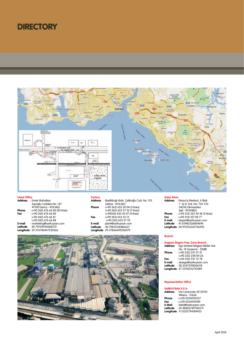### **DIRECTORY**



#### **Head Office**

|        | <b>Address</b> : Emek Mahallesi  |
|--------|----------------------------------|
|        | Aşıroğlu Caddesi No: 147         |
|        | 41700 Darica - KOCAFI İ          |
| Phone  | : (+90 262) 676 66 00 (20 lines) |
| Fax    | $: 1 + 90262$ 676 66 80          |
|        | (+90 262) 676 66 81              |
|        | (+90 262) 676 66 88              |
| E-mail | : marketing@sarkuysan.com        |
|        | Latitude : 40.79703934068372     |
|        | Longitude: 29.376786947250366    |

#### **Factory**

| <b>Address</b> | : Beylikbağı Mah. Çelikoğlu Cad. No: 155 |
|----------------|------------------------------------------|
|                | Gebze - KOCAELİ                          |
| Phone          | : (+90 262) 653 26 04 (3 lines)          |
|                | (+90 262) 653 27 52 (7 lines)            |
|                | (+90262) 653 45 07 (4 lines)             |
| Fax            | $: 1 + 90262$ 653 55 12                  |
|                | (+90 262) 653 27 59                      |
| E-mail         | : plant@sarkuvsan.com                    |
| Latitude       | : 40.79812768486637                      |
|                | Longitude: 29.37866449356079             |

#### **Sales Store**

| <b>Address</b> | : Perpa İş Merkezi, A Blok      |
|----------------|---------------------------------|
|                | 7. ve 8. Kat, No: 733-735       |
|                | 34350 Okmeydanı                 |
|                | Sisli - İSTANBUL                |
| Phone          | : (+90 212) 222 45 96 (2 lines) |
| Fax            | : (+90 212) 221 98 77           |
| E-mail         | : sksper@sarkuysan.com          |
| Latitude       | : 41.05982526804696             |
|                | Longitude: 28.970153331756592   |



### **Branch**

| <b>Aegean Region Free Zone Branch</b> |                                            |  |
|---------------------------------------|--------------------------------------------|--|
|                                       | Address : Ege Serbest Bölgesi Nilüfer Sok. |  |
|                                       | No: 19 Gaziemir - İZMİR                    |  |
| Phone                                 | $:(+90 232) 251 57 51$                     |  |
|                                       | (+90 232) 258 00 26                        |  |
| Fax                                   | : (+90 232) 251 72 78                      |  |
| E-mail                                | : sksege@sarkuysan.com                     |  |
|                                       | Latitude : 38.33472198306118               |  |
|                                       | Longitude: 27.12702512741089               |  |

#### **Representative Office**

#### **SARKUYSAN S.P.A.**

| <b>Address</b> | : Via Caracciolo 30 20155   |
|----------------|-----------------------------|
|                | Milano - ITALIA             |
| Phone          | : (+39) 0234592237          |
| Fax            | $: 1 + 39$ 0234592189       |
| E-Mail         | : italia@sarkuysan.com      |
| Latitude       | : 45.48805749706375         |
|                | Longitude: 9.15332794189453 |